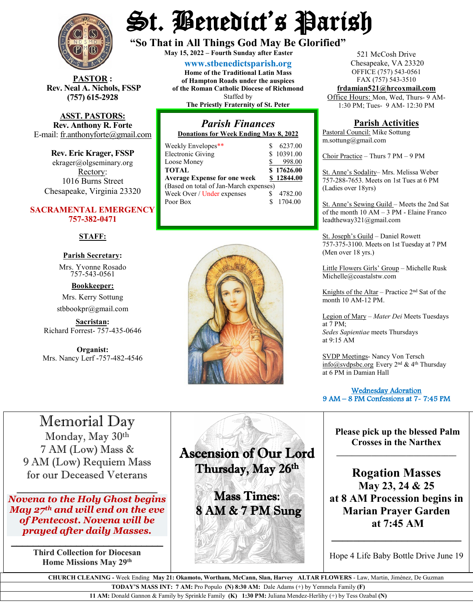

**STOR** : **Rev. Neal A. Nichols, FSSP (757) 615-2928** 

**ASST. PASTORS: Rev. Anthony R. Forte** E-mail: [fr.anthonyforte@gmail.com](mailto:fr.anthonyforte@gmail.com)

**Rev. Eric Krager, FSSP** ekrager@olgseminary.org Rectory: 1016 Burns Street Chesapeake, Virginia 23320

#### **SACRAMENTAL EMERGENCY 757-382-0471**

#### **STAFF:**

### **Parish Secretary:**

Mrs. Yvonne Rosado757-543-0561

**Bookkeeper:** Mrs. Kerry Sottung stbbookpr@gmail.com

**Sacristan:**  Richard Forrest- 757-435-0646

**Organist:** Mrs. Nancy Lerf -757-482-4546

# St. Benedict's Parish

**"So That in All Things God May Be Glorified" May 15, <sup>2022</sup> – Fourth Sunday after Easter**

**[www.stbenedictsparish.org](http://www.stbenedictsparish.org/) Home of the Traditional Latin Mass of Hampton Roads under the auspices of the Roman Catholic Diocese of Richmond** Staffed by **The Priestly Fraternity of St. Peter**

# *Parish Finances*

**Donations for Week Ending May 8, 2022**

| Weekly Envelopes**                     |  | 6237.00    |  |  |  |  |  |
|----------------------------------------|--|------------|--|--|--|--|--|
| <b>Electronic Giving</b>               |  | \$10391.00 |  |  |  |  |  |
| Loose Money                            |  | 998.00     |  |  |  |  |  |
| <b>TOTAL</b>                           |  | \$17626.00 |  |  |  |  |  |
| <b>Average Expense for one week</b>    |  | \$12844.00 |  |  |  |  |  |
| (Based on total of Jan-March expenses) |  |            |  |  |  |  |  |
| Week Over / Under expenses             |  | 4782.00    |  |  |  |  |  |
| Poor Box                               |  | 1704.00    |  |  |  |  |  |



521 McCosh Drive Chesapeake, VA 23320 OFFICE (757) 543-0561 FAX (757) 543-3510

**[frdamian521@hrcoxmail.com](mailto:frdamian521@hrcoxmail.com)** Office Hours: Mon, Wed, Thurs- 9 AM-

1:30 PM; Tues- 9 AM- 12:30 PM

#### **Parish Activities**

Pastoral Council: Mike Sottung m.sottung@gmail.com

Choir Practice – Thurs 7 PM – 9 PM

St. Anne's Sodality– Mrs. Melissa Weber 757-288-7653. Meets on 1st Tues at 6 PM (Ladies over 18yrs)

St. Anne's Sewing Guild – Meets the 2nd Sat of the month 10 AM – 3 PM - Elaine Franco leadtheway321@gmail.com

St. Joseph's Guild – Daniel Rowett 757-375-3100. Meets on 1st Tuesday at 7 PM (Men over 18 yrs.)

Little Flowers Girls' Group – Michelle Rusk Michelle@coastalstw.com

Knights of the Altar – Practice  $2<sup>nd</sup>$  Sat of the month 10 AM-12 PM.

Legion of Mary – *Mater Dei* Meets Tuesdays at 7 PM; *Sedes Sapientiae* meets Thursdays at 9:15 AM

SVDP Meetings- Nancy Von Tersch [info@svdpsbc.org](mailto:info@svdpsbc.org) Every 2nd & 4th Thursday at 6 PM in Damian Hall

 Wednesday Adoration 9 AM – 8 PM Confessions at 7- 7:45 PM  $\overline{a}$ 

## Memorial Day

Monday, May 30th 7 AM (Low) Mass & 9 AM (Low) Requiem Mass for our Deceased Veterans

 $\overline{\phantom{a}}$ *Novena to the Holy Ghost begins May 27th and will end on the eve of Pentecost. Novena will be prayed after daily Masses.*

\_\_\_\_\_\_\_\_\_\_\_\_\_\_\_\_\_\_\_\_\_\_\_\_\_\_\_\_ **Third Collection for Diocesan Home Missions May 29th**

Ascension of Our Lord Thursday, May 26th

Ī

**Sales A** 

Mass Times: 8 AM & 7 PM Sung **Please pick up the blessed Palm Crosses in the Narthex**

**\_\_\_\_\_\_\_\_\_\_\_\_\_\_\_\_\_\_\_\_\_\_\_\_\_\_\_\_\_\_\_**

**Rogation Masses May 23, 24 & 25 at 8 AM Procession begins in Marian Prayer Garden at 7:45 AM**

Hope 4 Life Baby Bottle Drive June 19

**\_\_\_\_\_\_\_\_\_\_\_\_\_\_\_\_\_\_\_\_\_\_\_\_**

 **CHURCH CLEANING -** Week Ending **May 21: Okamoto, Wortham, McCann, Slan, Harvey ALTAR FLOWERS** - Law, Martin, Jiménez, De Guzman

**TODAY'S MASS INT: 7 AM:** Pro Populo **(N) 8:30 AM:** Dale Adams (+) by Yemmela Family **(F)**

**11 AM:** Donald Gannon & Family by Sprinkle Family **(K) 1:30 PM:** Juliana Mendez-Herlihy (+) by Tess Ozabal **(N)**